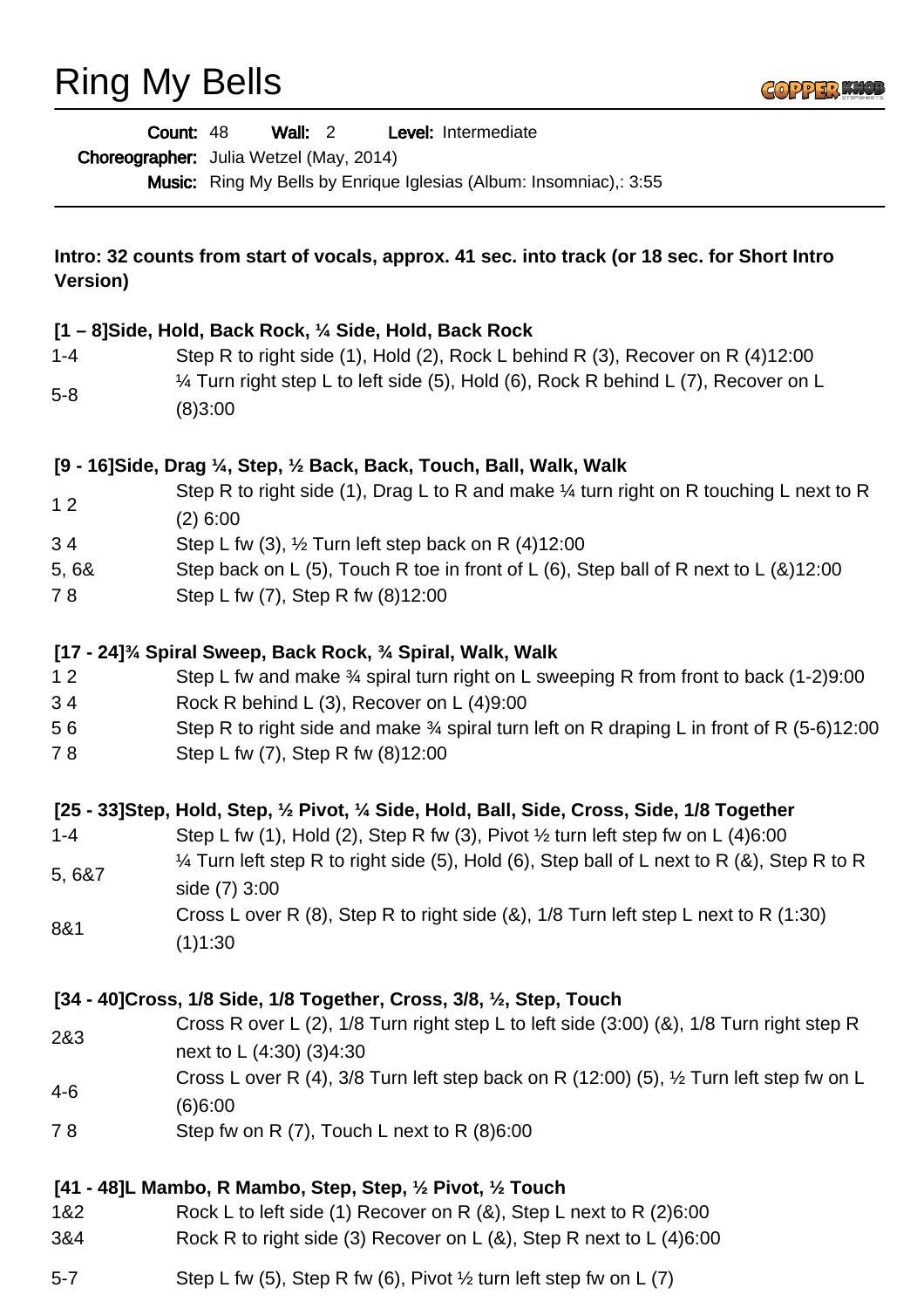Ring My Bells



|                                                                                              | Count: 48<br><b>Wall: 2</b><br>Level: Intermediate                                                            |
|----------------------------------------------------------------------------------------------|---------------------------------------------------------------------------------------------------------------|
|                                                                                              | Choreographer: Julia Wetzel (May, 2014)                                                                       |
|                                                                                              | Music: Ring My Bells by Enrique Iglesias (Album: Insomniac),: 3:55                                            |
|                                                                                              |                                                                                                               |
|                                                                                              |                                                                                                               |
|                                                                                              | Intro: 32 counts from start of vocals, approx. 41 sec. into track (or 18 sec. for Short Intro                 |
| <b>Version)</b>                                                                              |                                                                                                               |
|                                                                                              |                                                                                                               |
|                                                                                              | [1 - 8] Side, Hold, Back Rock, 1/4 Side, Hold, Back Rock                                                      |
| $1 - 4$                                                                                      | Step R to right side (1), Hold (2), Rock L behind R (3), Recover on R (4)12:00                                |
| $5-8$                                                                                        | 1/4 Turn right step L to left side (5), Hold (6), Rock R behind L (7), Recover on L                           |
|                                                                                              | (8)3:00                                                                                                       |
|                                                                                              |                                                                                                               |
|                                                                                              | [9 - 16] Side, Drag 1/4, Step, 1/2 Back, Back, Touch, Ball, Walk, Walk                                        |
|                                                                                              | Step R to right side (1), Drag L to R and make $\frac{1}{4}$ turn right on R touching L next to R             |
| 12                                                                                           | (2) 6:00                                                                                                      |
| 34                                                                                           | Step L fw $(3)$ , $\frac{1}{2}$ Turn left step back on R $(4)12:00$                                           |
| 5,68                                                                                         | Step back on L (5), Touch R toe in front of L (6), Step ball of R next to L $(8)12:00$                        |
| 78                                                                                           | Step L fw (7), Step R fw (8)12:00                                                                             |
|                                                                                              |                                                                                                               |
|                                                                                              | [17 - 24] <sup>3</sup> / <sub>4</sub> Spiral Sweep, Back Rock, <sup>3</sup> / <sub>4</sub> Spiral, Walk, Walk |
| 12                                                                                           | Step L fw and make 3⁄4 spiral turn right on L sweeping R from front to back (1-2)9:00                         |
| 34                                                                                           | Rock R behind L (3), Recover on L (4)9:00                                                                     |
| 56                                                                                           | Step R to right side and make $\frac{3}{4}$ spiral turn left on R draping L in front of R (5-6)12:00          |
| 78                                                                                           | Step L fw (7), Step R fw (8)12:00                                                                             |
|                                                                                              |                                                                                                               |
| [25 - 33] Step, Hold, Step, 1/2 Pivot, 1/4 Side, Hold, Ball, Side, Cross, Side, 1/8 Together |                                                                                                               |
| $1 - 4$                                                                                      | Step L fw (1), Hold (2), Step R fw (3), Pivot 1/2 turn left step fw on L (4)6:00                              |
|                                                                                              | $\frac{1}{4}$ Turn left step R to right side (5), Hold (6), Step ball of L next to R (&), Step R to R         |
| 5,6&7                                                                                        | side (7) 3:00                                                                                                 |
|                                                                                              | Cross L over R $(8)$ , Step R to right side $(8)$ , 1/8 Turn left step L next to R $(1:30)$                   |
| 8&1                                                                                          | (1)1:30                                                                                                       |
|                                                                                              |                                                                                                               |
|                                                                                              | [34 - 40] Cross, 1/8 Side, 1/8 Together, Cross, 3/8, 1/2, Step, Touch                                         |
|                                                                                              | Cross R over L (2), 1/8 Turn right step L to left side (3:00) (&), 1/8 Turn right step R                      |
| 2&3                                                                                          |                                                                                                               |
|                                                                                              | next to L (4:30) (3)4:30                                                                                      |
| $4-6$                                                                                        | Cross L over R (4), 3/8 Turn left step back on R (12:00) (5), $\frac{1}{2}$ Turn left step fw on L            |
|                                                                                              | (6)6:00                                                                                                       |
| 78                                                                                           | Step fw on R $(7)$ , Touch L next to R $(8)6:00$                                                              |
|                                                                                              |                                                                                                               |
|                                                                                              | [41 - 48]L Mambo, R Mambo, Step, Step, $\frac{1}{2}$ Pivot, $\frac{1}{2}$ Touch                               |
| 1&2                                                                                          | Rock L to left side (1) Recover on R (&), Step L next to R (2)6:00                                            |
| 3&4                                                                                          | Rock R to right side (3) Recover on L $(8)$ , Step R next to L $(4)6:00$                                      |
| $5 - 7$                                                                                      | Step L fw (5), Step R fw (6), Pivot $\frac{1}{2}$ turn left step fw on L (7)                                  |